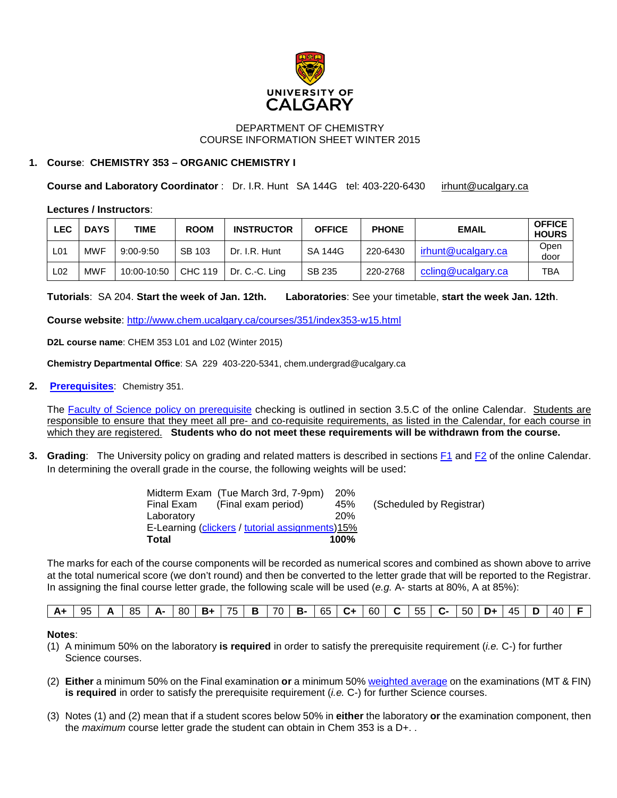

## DEPARTMENT OF CHEMISTRY COURSE INFORMATION SHEET WINTER 2015

## **1. Course**: **CHEMISTRY 353 – ORGANIC CHEMISTRY I**

**Course and Laboratory Coordinator** : Dr. I.R. Hunt SA 144G tel: 403-220-6430 [irhunt@ucalgary.ca](mailto:irhunt@ucalgary.ca)

#### **Lectures / Instructors**:

| LEC             | <b>DAYS</b> | TIME          | <b>ROOM</b> | <b>INSTRUCTOR</b> | <b>OFFICE</b>  | <b>PHONE</b> | <b>EMAIL</b>       | <b>OFFICE</b><br><b>HOURS</b> |
|-----------------|-------------|---------------|-------------|-------------------|----------------|--------------|--------------------|-------------------------------|
| L01             | <b>MWF</b>  | $9:00 - 9:50$ | SB 103      | Dr. I.R. Hunt     | <b>SA 144G</b> | 220-6430     | irhunt@ucalgary.ca | Open<br>door                  |
| L <sub>02</sub> | <b>MWF</b>  | 10:00-10:50   | CHC 119     | Dr. C.-C. Ling    | SB 235         | 220-2768     | ccling@ucalgary.ca | TBA                           |

**Tutorials**: SA 204. **Start the week of Jan. 12th. Laboratories**: See your timetable, **start the week Jan. 12th**.

**Course website**:<http://www.chem.ucalgary.ca/courses/351/index353-w15.html>

**D2L course name**: CHEM 353 L01 and L02 (Winter 2015)

**Chemistry Departmental Office**: SA 229 403-220-5341, chem.undergrad@ucalgary.ca

**2. [Prerequisites](http://www.ucalgary.ca/pubs/calendar/current/chemistry.html%236517)**: Chemistry 351.

The [Faculty of Science policy on prerequisite](http://www.ucalgary.ca/pubs/calendar/current/sc-3-5.html) checking is outlined in section 3.5.C of the online Calendar. Students are responsible to ensure that they meet all pre- and co-requisite requirements, as listed in the Calendar, for each course in which they are registered. **Students who do not meet these requirements will be withdrawn from the course.**

**3. Grading**: The University policy on grading and related matters is described in sections [F1](http://www.ucalgary.ca/pubs/calendar/current/f-1.html) and [F2](http://www.ucalgary.ca/pubs/calendar/current/f-2.html) of the online Calendar. In determining the overall grade in the course, the following weights will be used:

|                                                 | Midterm Exam (Tue March 3rd, 7-9pm) | <b>20%</b> |                          |  |  |  |  |  |
|-------------------------------------------------|-------------------------------------|------------|--------------------------|--|--|--|--|--|
| Final Exam                                      | (Final exam period)                 | 45%        | (Scheduled by Registrar) |  |  |  |  |  |
| Laboratory                                      |                                     | 20%        |                          |  |  |  |  |  |
| E-Learning (clickers / tutorial assignments)15% |                                     |            |                          |  |  |  |  |  |
| <b>Total</b>                                    |                                     | $100\%$    |                          |  |  |  |  |  |

The marks for each of the course components will be recorded as numerical scores and combined as shown above to arrive at the total numerical score (we don't round) and then be converted to the letter grade that will be reported to the Registrar. In assigning the final course letter grade, the following scale will be used (*e.g.* A- starts at 80%, A at 85%):

#### **Notes**:

- (1) A minimum 50% on the laboratory **is required** in order to satisfy the prerequisite requirement (*i.e.* C-) for further Science courses.
- (2) **Either** a minimum 50% on the Final examination **or** a minimum 50[% weighted average](http://www.chem.ucalgary.ca/courses/350/weighted_average.html) on the examinations (MT & FIN) **is required** in order to satisfy the prerequisite requirement (*i.e.* C-) for further Science courses.
- (3) Notes (1) and (2) mean that if a student scores below 50% in **either** the laboratory **or** the examination component, then the *maximum* course letter grade the student can obtain in Chem 353 is a D+. .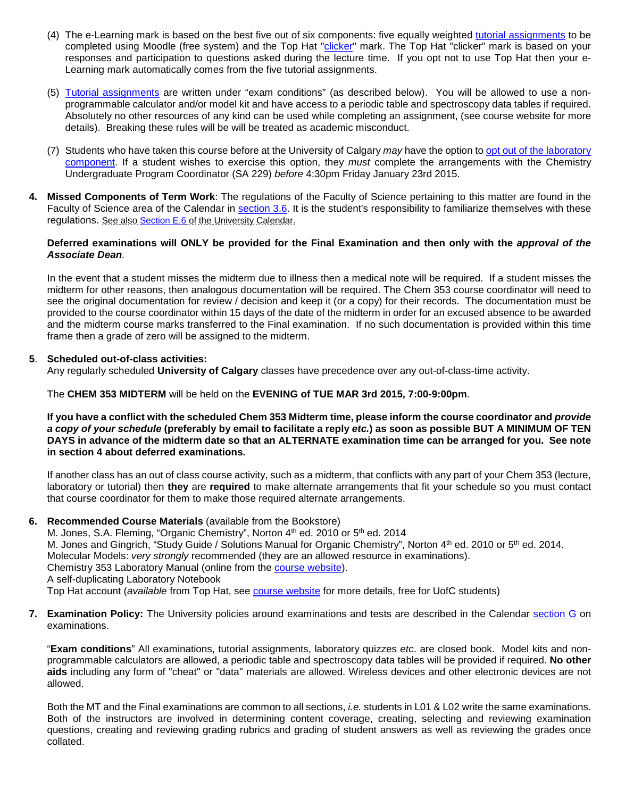- (4) The e-Learning mark is based on the best five out of six components: five equally weighted [tutorial assignments](http://www.chem.ucalgary.ca/courses/350/353assignments_W15.html) to be completed using Moodle (free system) and the Top Hat ["clicker"](http://www.chem.ucalgary.ca/courses/351/clickers.html) mark. The Top Hat "clicker" mark is based on your responses and participation to questions asked during the lecture time. If you opt not to use Top Hat then your e-Learning mark automatically comes from the five tutorial assignments.
- (5) [Tutorial assignments](http://www.chem.ucalgary.ca/courses/350/353assignments_W15.html) are written under "exam conditions" (as described below). You will be allowed to use a nonprogrammable calculator and/or model kit and have access to a periodic table and spectroscopy data tables if required. Absolutely no other resources of any kind can be used while completing an assignment, (see course website for more details). Breaking these rules will be will be treated as academic misconduct.
- (7) Students who have taken this course before at the University of Calgary *may* have the option t[o opt out of the laboratory](http://www.chem.ucalgary.ca/courses/351/laboratory/labopt.html)  [component.](http://www.chem.ucalgary.ca/courses/351/laboratory/labopt.html) If a student wishes to exercise this option, they *must* complete the arrangements with the Chemistry Undergraduate Program Coordinator (SA 229) *before* 4:30pm Friday January 23rd 2015.
- **4. Missed Components of Term Work**: The regulations of the Faculty of Science pertaining to this matter are found in the Faculty of Science area of the Calendar in [section 3.6.](http://www.ucalgary.ca/pubs/calendar/current/sc-3-6.html) It is the student's responsibility to familiarize themselves with these regulations. See also [Section E.6](http://www.ucalgary.ca/pubs/calendar/current/e-3.html) of the University Calendar.

#### **Deferred examinations will ONLY be provided for the Final Examination and then only with the** *approval of the Associate Dean.*

In the event that a student misses the midterm due to illness then a medical note will be required. If a student misses the midterm for other reasons, then analogous documentation will be required. The Chem 353 course coordinator will need to see the original documentation for review / decision and keep it (or a copy) for their records. The documentation must be provided to the course coordinator within 15 days of the date of the midterm in order for an excused absence to be awarded and the midterm course marks transferred to the Final examination. If no such documentation is provided within this time frame then a grade of zero will be assigned to the midterm.

## **5**. **Scheduled out-of-class activities:**

Any regularly scheduled **University of Calgary** classes have precedence over any out-of-class-time activity.

The **CHEM 353 MIDTERM** will be held on the **EVENING of TUE MAR 3rd 2015, 7:00-9:00pm**.

**If you have a conflict with the scheduled Chem 353 Midterm time, please inform the course coordinator and** *provide a copy of your schedule* **(preferably by email to facilitate a reply** *etc.***) as soon as possible BUT A MINIMUM OF TEN DAYS in advance of the midterm date so that an ALTERNATE examination time can be arranged for you. See note in section 4 about deferred examinations.**

If another class has an out of class course activity, such as a midterm, that conflicts with any part of your Chem 353 (lecture, laboratory or tutorial) then **they** are **required** to make alternate arrangements that fit your schedule so you must contact that course coordinator for them to make those required alternate arrangements.

# **6. Recommended Course Materials** (available from the Bookstore)

M. Jones, S.A. Fleming, "Organic Chemistry", Norton 4<sup>th</sup> ed. 2010 or 5<sup>th</sup> ed. 2014 M. Jones and Gingrich, "Study Guide / Solutions Manual for Organic Chemistry", Norton 4th ed. 2010 or 5th ed. 2014. Molecular Models: *very strongly* recommended (they are an allowed resource in examinations). Chemistry 353 Laboratory Manual (online from the [course website\)](http://www.chem.ucalgary.ca/courses/350/index353-w15.html). A self-duplicating Laboratory Notebook Top Hat account (*available* from Top Hat, see [course website](http://www.chem.ucalgary.ca/courses/350/index353-w15.html) for more details, free for UofC students)

**7. Examination Policy:** The University policies around examinations and tests are described in the Calendar [section G](http://www.ucalgary.ca/pubs/calendar/current/g.html) on examinations.

"**Exam conditions**" All examinations, tutorial assignments, laboratory quizzes *etc*. are closed book. Model kits and nonprogrammable calculators are allowed, a periodic table and spectroscopy data tables will be provided if required. **No other aids** including any form of "cheat" or "data" materials are allowed. Wireless devices and other electronic devices are not allowed.

Both the MT and the Final examinations are common to all sections, *i.e.* students in L01 & L02 write the same examinations. Both of the instructors are involved in determining content coverage, creating, selecting and reviewing examination questions, creating and reviewing grading rubrics and grading of student answers as well as reviewing the grades once collated.